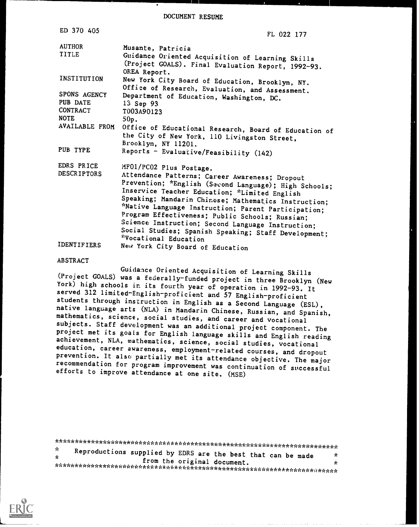DOCUMENT RESUME

| ED 370 405                                                 | FL 022 177                                                                                                                                                                                                                                                                                                                                                                                                                                                       |
|------------------------------------------------------------|------------------------------------------------------------------------------------------------------------------------------------------------------------------------------------------------------------------------------------------------------------------------------------------------------------------------------------------------------------------------------------------------------------------------------------------------------------------|
| <b>AUTHOR</b>                                              | Musante, Patricia                                                                                                                                                                                                                                                                                                                                                                                                                                                |
| <b>TITLE</b>                                               | Guidance Oriented Acquisition of Learning Skills<br>(Project GOALS). Final Evaluation Report, 1992-93.<br>OREA Report.                                                                                                                                                                                                                                                                                                                                           |
| INSTITUTION                                                | New York City Board of Education, Brooklyn, NY.                                                                                                                                                                                                                                                                                                                                                                                                                  |
| SPONS AGENCY<br>PUB DATE<br><b>CONTRACT</b><br><b>NOTE</b> | Office of Research, Evaluation, and Assessment.<br>Department of Education, Washington, DC.<br>13 Sep 93<br>T003A90123<br>$50p$ .                                                                                                                                                                                                                                                                                                                                |
| AVAILABLE FROM                                             | Office of Educational Research, Board of Education of<br>the City of New York, 110 Livingston Street,<br>Brooklyn, NY 11201.                                                                                                                                                                                                                                                                                                                                     |
| PUB TYPE                                                   | Reports - Evaluative/Feasibility (142)                                                                                                                                                                                                                                                                                                                                                                                                                           |
| EDRS PRICE                                                 | MF01/PC02 Plus Postage.                                                                                                                                                                                                                                                                                                                                                                                                                                          |
| <b>DESCRIPTORS</b>                                         | Attendance Patterns; Career Awareness; Dropout<br>Prevention; *English (Second Language); High Schools;<br>Inservice Teacher Education; *Limited English<br>Speaking; Mandarin Chinese; Mathematics Instruction;<br>*Native Language Instruction; Parent Participation;<br>Program Effectiveness; Public Schools; Russian;<br>Science Instruction; Second Language Instruction;<br>Social Studies; Spanish Speaking; Staff Development;<br>*Vocational Education |
| <b>IDENTIFIERS</b>                                         | New York City Board of Education                                                                                                                                                                                                                                                                                                                                                                                                                                 |

ABSTRACT

Guidance Oriented Acquisition of Learning Skills<br>(Project GOALS) was a federally-funded project in three Brooklyn (New York) high schools in its fourth year of operation in 1992-93. It<br>served 312 limited-English-proficient and 57 English-proficient<br>students through instruction in English as a Second Language (ESL), native language arts (NLA) in Mandarin Chinese, Russian, and Spanish, mathematics, science, social studies, and career and vocational subjects. Staff development was an additional project component. The project met its goa education, career awareness, employment-related courses, and dropout<br>prevention. It also partially met its attendance objective. The major<br>recommendation for program improvement was continuation of successful<br>efforts to im

\*\*\*\*\*\*\*\*\*\*\*\*\*\*\*\*\*\*\*\*\*\*\*\*\*\*\*\*\*\*\*\*\*\*\*\*\*\*\*\*\*\*\*\*\*\*\*\*\*\*\*\*\*\*\*\*\*\*\*\*\*\*\*\*\*\*\*\*\*\*\* Reproductions supplied by EDRS are the best that can be made  $\mathbf{r}$ from the original document.  $\mathbf{r}$ \*\*\*\*\*\*\*\*\*\*\*\*\*\*\*\*\*\*\*\*\*\*\*\*\*\*\*\*\*\*\*\*\*\*\*\*\*\*\*\*\*\*\*\*\*\*\*\*\*\*\*\*\*\*\*\*\*\*\*\*\*\*\*\*\*\*\*\*\*\*\*

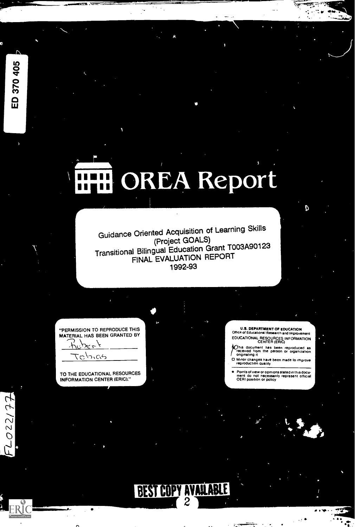# OREA Report

Guidance Oriented Acquisition of Learning Skills<br>(Project GOALS) (Project GOALS) Transitional Bilingual Education Grant T003A90123 FINAL EVALUATION REPORT 1992-93

"PERMISSION TO REPRODUCE THIS MATERIAL HAS BEEN GRANTED BY

いいい

TO THE EDUCATIONAL RESOURCES INFORMATION CENTER (ERIC)"

U.S. DEPARTMENT OF EDUCATION<br>Office of Educational Research and Improvement EDUCATIONAL RESOURCES INFORMATION CENTER (ERIC)

D

m Was. .

/Cthis document hes been reproduced as received from the person or organization originating it

0 Minor changes have been made to improve reproduction quality

Points of view or opinions stated in this docu- ment do not necessarily represent official OERI position or policy

a i spirit të

 $\ddot{\phantom{a}}$ 



ED 370 405

Et1220.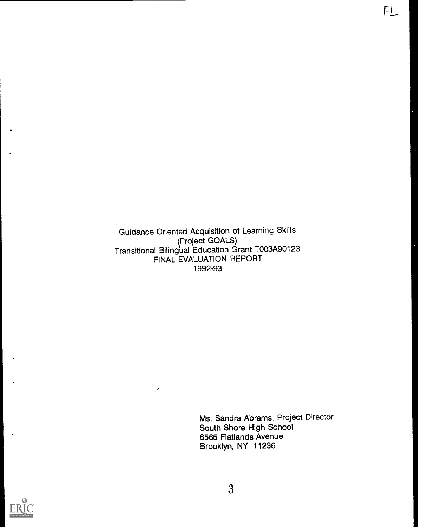Guidance Oriented Acquisition of Learning Skills (Project GOALS) Transitional Bilingual Education Grant T003A90123 FINAL EVALUATION REPORT 1992-93

 $\mathcal{L}^{\text{max}}$ 

Ms. Sandra Abrams, Project Director. South Shore High School 6565 Flatlands Avenue Brooklyn, NY 11236

FL

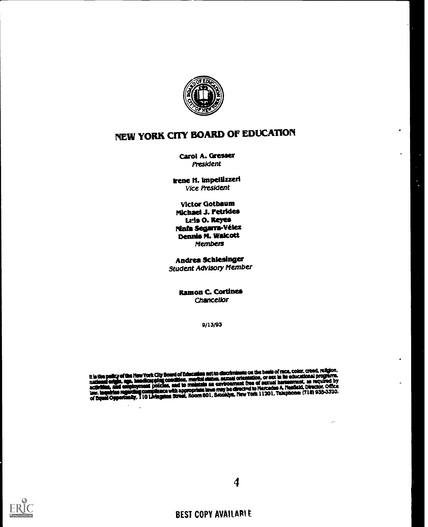

# NEW YORK CITY BOARD OF EDUCATION

Carol A. Gresser President

Irene M. lmpelUuerl Vice President

Victor Gotbaum Michael J. retrides Lris 0. Reyes Ninfa Segarra-Vélez Dennis M. Walcott Members

Andrea Schlesinger Student Advisory Member

> **Ramon C. Cortines Chancellor**

> > 9/13/93

it is the policy of the New York City Board of Education act to discriminate on the basis of race, rolor, creaq, reagons,<br>national origin, age, handicapping condition, marital status, sexual orientation, or sex in its educ

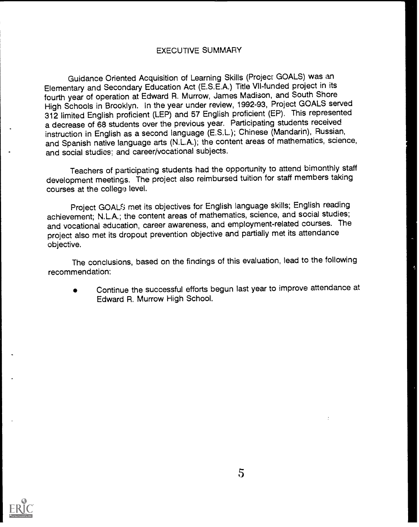#### EXECUTIVE SUMMARY

Guidance Oriented Acquisition of Learning Skills (Project GOALS) was an Elementary and Secondary Education Act (E.S.E.A.) Title VII-funded project in its fourth year of operation at Edward R Murrow, James Madison, and South Shore High Schools in Brooklyn. In the year under review, 1992-93, Project GOALS served 312 limited English proficient (LEP) and 57 English proficient (EP). This represented a decrease of 68 students over the previous year. Participating students received instruction in English as a second language (E.S.L); Chinese (Mandarin), Russian, and Spanish native language arts (N.LA.); the content areas of mathematics, science, and social studies; and career/vocational subjects.

Teachers of participating students had the opportunity to attend bimonthly staff development meetings. The project also reimbursed tuition for staff members taking courses at the college level.

Project GOAL<sup>5</sup> met its objectives for English language skills; English reading achievement; N.L.A.; the content areas of mathematics, science, and social studies; and vocational education, career awareness, and employment-related courses. The project also met its dropout prevention objective and partially met its attendance objective.

The conclusions, based on the findings of this evaluation, lead to the following recommendation:

Continue the successful efforts begun last year to improve attendance at Edward R. Murrow High School.

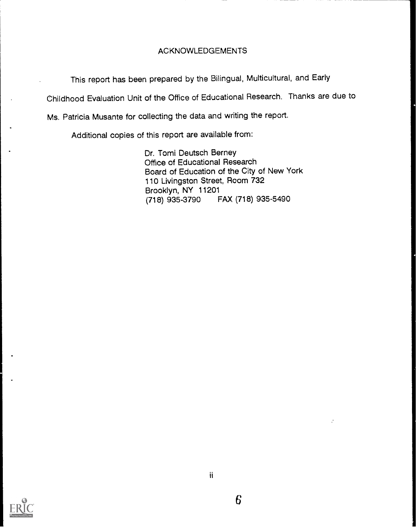#### ACKNOWLEDGEMENTS

This report has been prepared by the Bilingual, Multicultural, and Early

Childhood Evaluation Unit of the Office of Educational Research. Thanks are due to

Ms. Patricia Musante for collecting the data and writing the report.

Additional copies of this report are available from:

Dr. Tomi Deutsch Berney Office of Educational Research Board of Education of the City of New York 110 Livingston Street, Room 732 Brooklyn, NY 11201<br>(718) 935-3790 F (718) 935-3790 FAX (718) 935-5490

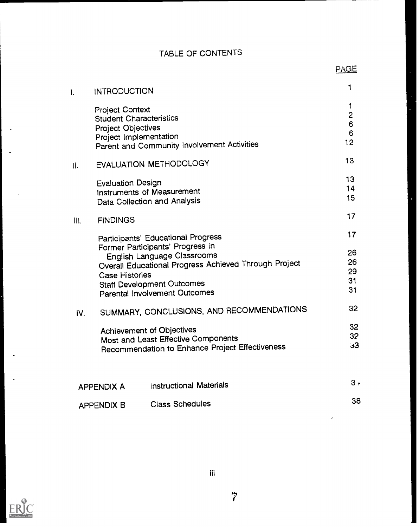# TABLE OF CONTENTS

|      | <b>INTRODUCTION</b>                                                                                             |                                                                        | 1                                   |
|------|-----------------------------------------------------------------------------------------------------------------|------------------------------------------------------------------------|-------------------------------------|
|      | <b>Project Context</b><br><b>Student Characteristics</b><br><b>Project Objectives</b><br>Project Implementation | Parent and Community Involvement Activities                            | 1<br>$\overline{c}$<br>6<br>6<br>12 |
| II.  |                                                                                                                 | EVALUATION METHODOLOGY                                                 | 13                                  |
|      | <b>Evaluation Design</b>                                                                                        | Instruments of Measurement<br>Data Collection and Analysis             | 13<br>14<br>15                      |
| III. | <b>FINDINGS</b>                                                                                                 |                                                                        | 17                                  |
|      |                                                                                                                 | Participants' Educational Progress<br>Former Participants' Progress in | 17                                  |
|      |                                                                                                                 | English Language Classrooms                                            | 26                                  |
|      |                                                                                                                 | Overall Educational Progress Achieved Through Project                  | 26                                  |
|      | <b>Case Histories</b>                                                                                           |                                                                        | 29                                  |
|      |                                                                                                                 | <b>Staff Development Outcomes</b>                                      | 31                                  |
|      |                                                                                                                 | <b>Parental Involvement Outcomes</b>                                   | 31                                  |
| IV.  |                                                                                                                 | SUMMARY, CONCLUSIONS, AND RECOMMENDATIONS                              | 32                                  |
|      |                                                                                                                 |                                                                        | 32                                  |
|      |                                                                                                                 | Achievement of Objectives<br>Most and Least Effective Components       | 32                                  |
|      |                                                                                                                 | Recommendation to Enhance Project Effectiveness                        | 3 <sup>3</sup>                      |
|      |                                                                                                                 |                                                                        | $3 +$                               |
|      | <b>APPENDIX A</b>                                                                                               | <b>Instructional Materials</b>                                         |                                     |
|      | <b>APPENDIX B</b>                                                                                               | <b>Class Schedules</b>                                                 | 38                                  |



7

J.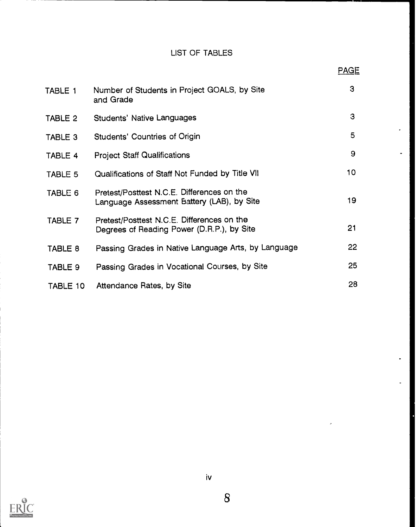# LIST OF TABLES

PAGE

| TABLE 1  | Number of Students in Project GOALS, by Site<br>and Grade                                | 3  |
|----------|------------------------------------------------------------------------------------------|----|
| TABLE 2  | <b>Students' Native Languages</b>                                                        | 3  |
| TABLE 3  | Students' Countries of Origin                                                            | 5  |
| TABLE 4  | <b>Project Staff Qualifications</b>                                                      | 9  |
| TABLE 5  | Qualifications of Staff Not Funded by Title VII                                          | 10 |
| TABLE 6  | Pretest/Posttest N.C.E. Differences on the<br>Language Assessment Battery (LAB), by Site | 19 |
| TABLE 7  | Pretest/Posttest N.C.E. Differences on the<br>Degrees of Reading Power (D.R.P.), by Site | 21 |
| TABLE 8  | Passing Grades in Native Language Arts, by Language                                      | 22 |
| TABLE 9  | Passing Grades in Vocational Courses, by Site                                            | 25 |
| TABLE 10 | Attendance Rates, by Site                                                                | 28 |

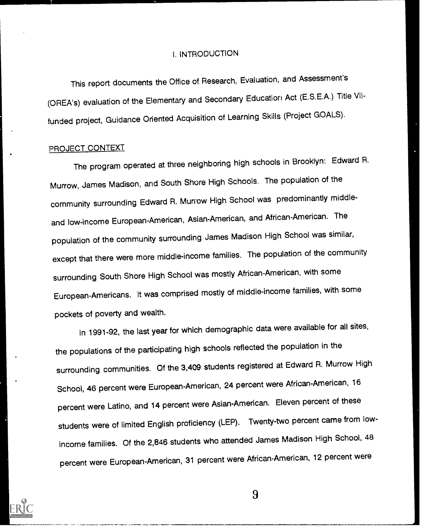#### I. INTRODUCTION

This report documents the Office of Research, Evaluation, and Assessment's (OREA's) evaluation of the Elementary and Secondary Education Act (E.S.E.A.) Title VIIfunded project, Guidance Oriented Acquisition of Learning Skills (Project GOALS).

#### PROJECT CONTEXT

The program operated at three neighboring high schools in Brooklyn: Edward R. Murrow, James Madison, and South Shore High Schools. The population of the community surrounding Edward R. Murrow High School was predominantly middleand low-income European-American, Asian-American, and African-American. The population of the community surrounding James Madison High School was similar, except that there were more middle-income families. The population of the community surrounding South Shore High School was mostly African-American, with some European-Americans. It was comprised mostly of middle-income families, with some pockets of poverty and wealth.

In 1991-92, the last year for which demographic data were available for all sites, the populations of the participating high schools reflected the population in the surrounding communities. Of the 3,409 students registered at Edward R. Murrow High School, 46 percent were European-American, 24 percent were African-American, 16 percent were Latino, and 14 percent were Asian-American. Eleven percent of these students were of limited English proficiency (LEP). Twenty-two percent came from lowincome families. Of the 2,846 students who attended James Madison High School, 48 percent were European-American, 31 percent were African-American, 12 percent were

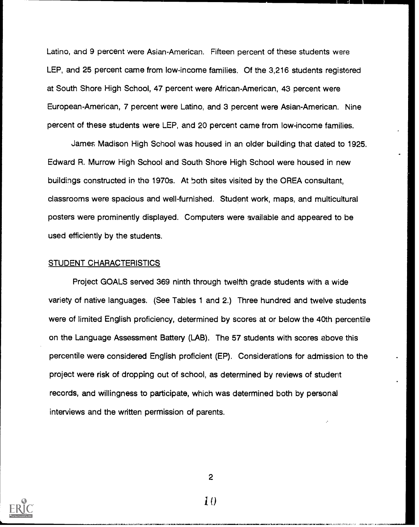Latino, and 9 percent were Asian-American. Fifteen percent of these students were LEP, and 25 percent came from low-income families. Of the 3,216 students registered at South Shore High School, 47 percent were African-American, 43 percent were European-American, 7 percent were Latino, and 3 percent were Asian-American. Nine percent of these students were LEP, and 20 percent came from low-income families.

James Madison High School was housed in an older building that dated to 1925. Edward R. Murrow High School and South Shore High School were housed in new buildings constructed in the 1970s. At both sites visited by the OREA consultant, classrooms were spacious and well-furnished. Student work, maps, and multicultural posters were prominently displayed. Computers were available and appeared to be used efficiently by the students.

#### STUDENT CHARACTERISTICS

Project GOALS served 369 ninth through twelfth grade students with a wide variety of native languages. (See Tables 1 and 2.) Three hundred and twelve students were of limited English proficiency, determined by scores at or below the 40th percentile on the Language Assessment Battery (LAB). The 57 students with scores above this percentile were considered English proficient (EP). Considerations for admission to the project were risk of dropping out of school, as determined by reviews of student records, and willingness to participate, which was determined both by personal interviews and the written permission of parents.



2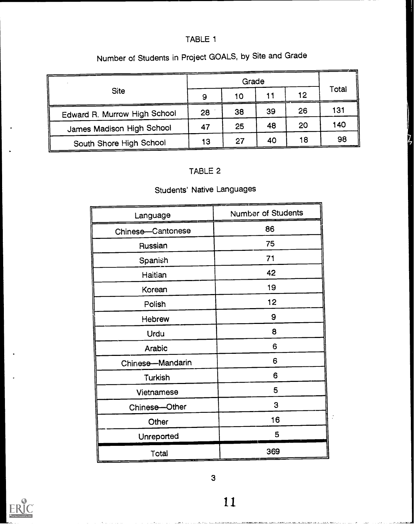# TABLE 1

|                              |    |    | Grade |    |       |
|------------------------------|----|----|-------|----|-------|
| <b>Site</b>                  | 9  | 10 |       | 12 | Total |
| Edward R. Murrow High School | 28 | 38 | 39    | 26 | 131   |
| James Madison High School    | 47 | 25 | 48    | 20 | 140   |
| South Shore High School      | 13 | 27 | 40    | 18 | 98    |

# Number of Students in Project GOALS, by Site and Grade

# TABLE 2

# Students' Native Languages

| Language          | <b>Number of Students</b> |
|-------------------|---------------------------|
| Chinese-Cantonese | 86                        |
| Russian           | 75                        |
| Spanish           | 71                        |
| Haitian           | 42                        |
| Korean            | 19                        |
| Polish            | 12                        |
| Hebrew            | 9                         |
| Urdu              | 8                         |
| Arabic            | 6                         |
| Chinese-Mandarin  | 6                         |
| <b>Turkish</b>    | 6                         |
| Vietnamese        | 5                         |
| Chinese-Other     | 3                         |
| Other             | 16                        |
| Unreported        | 5                         |
| Total             | 369                       |



فالمسداسة فالنعا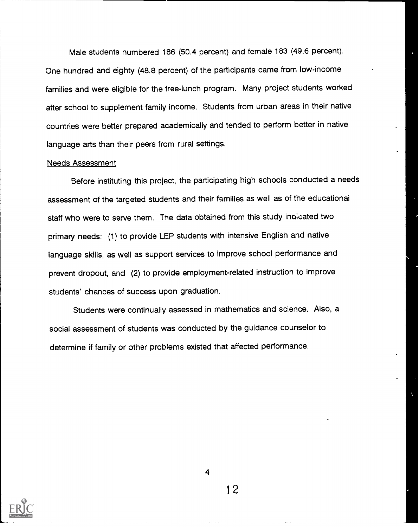Male students numbered 186 (50.4 percent) and female 183 (49.6 percent). One hundred and eighty (48.8 percent) of the participants came from low-income families and were eligible for the free-lunch program. Many project students worked after school to supplement family income. Students from urban areas in their native countries were better prepared academically and tended to perform better in native language arts than their peers from rural settings.

#### Needs Assessment

Before instituting this project, the participating high schools conducted a needs assessment of the targeted students and their families as well as of the educational staff who were to serve them. The data obtained from this study indicated two primary needs: (1) to provide LEP students with intensive English and native language skills, as well as support services to improve school performance and prevent dropout, and (2) to provide employment-related instruction to improve students' chances of success upon graduation.

Students were continually assessed in mathematics and science. Also, a social assessment of students was conducted by the guidance counselor to determine if family or other problems existed that affected performance.



4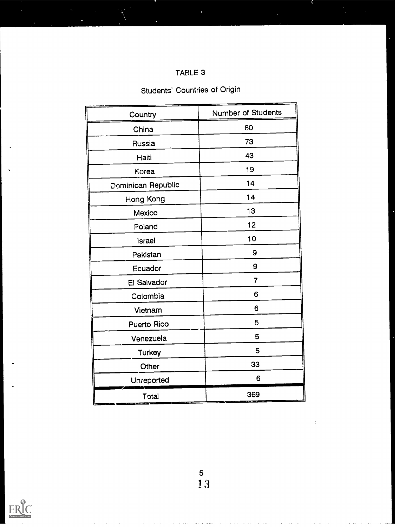| TABLE 3 |  |
|---------|--|
|---------|--|

# Students' Countries of Origin

| Country            | Number of Students |
|--------------------|--------------------|
| China              | 80                 |
| Russia             | 73                 |
| Haiti              | 43                 |
| Korea              | 19                 |
| Dominican Republic | 14                 |
| Hong Kong          | 14                 |
| Mexico             | 13                 |
| Poland             | 12                 |
| <b>Israel</b>      | 10                 |
| Pakistan           | 9                  |
| Ecuador            | 9                  |
| El Salvador        | 7                  |
| Colombia           | 6                  |
| Vietnam            | 6                  |
| Puerto Rico        | 5                  |
| Venezuela          | 5                  |
| Turkey             | 5                  |
| Other              | 33                 |
| Unreported         | 6                  |
| Total              | 369                |

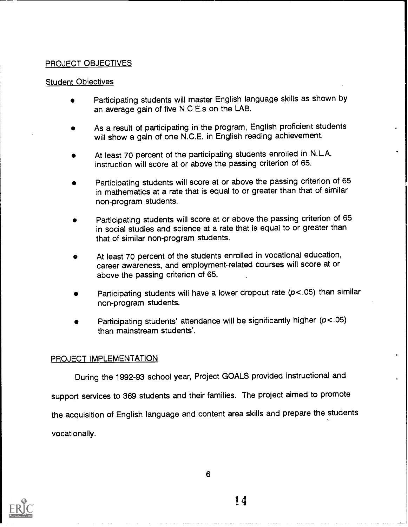#### PROJECT OBJECTIVES

#### Student Obiectives

- Participating students will master English language skills as shown by an average gain of five N.C.E.s on the LAB.
- As a result of participating in the program, English proficient students will show a gain of one N.C.E. in English reading achievement.
- At least 70 percent of the participating students enrolled in N.L.A. instruction will score at or above the passing criterion of 65.
- Participating students will score at or above the passing criterion of 65 in mathematics at a rate that is equal to or greater than that of similar non-program students.
- Participating students will score at or above the passing criterion of 65 in social studies and science at a rate that is equal to or greater than that of similar non-program students.
- At least 70 percent of the students enrolled in vocational education, career awareness, and employment-related courses will score at or above the passing criterion of 65.
- Participating students wili have a lower dropout rate (p<.05) than similar non-program students.
- Participating students' attendance will be significantly higher (p<.05) than mainstream students'.

#### PROJECT IMPLEMENTATION

During the 1992-93 school year, Project GOALS provided instructional and

support services to 369 students and their families. The project aimed to promote the acquisition of English language and content area skills and prepare the students vocationally.



6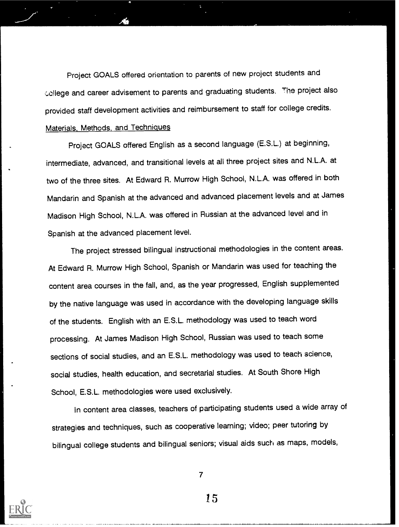Project GOALS offered orientation to parents of new project students and college and career advisement to parents and graduating students. The project also provided staff development activities and reimbursement to staff for college credits. Materials, Methods, and Techniques

Project GOALS offered English as a second language (E.S.L.) at beginning, intermediate, advanced, and transitional levels at all three project sites and N.L.A. at two of the three sites. At Edward R. Murrow High School, N.L.A. was offered in both Mandarin and Spanish at the advanced and advanced placement levels and at James Madison High School, N.L.A. was offered in Russian at the advanced level and in Spanish at the advanced placement level.

The project stressed bilingual instructional methodologies in the content areas. At Edward R. Murrow High School, Spanish or Mandarin was used for teaching the content area courses in the fall, and, as the year progressed, English supplemented by the native language was used in accordance with the developing language skills of the students. English with an E.S.L. methodology was used to teach word processing. At James Madison High School, Russian was used to teach some sections of social studies, and an E.S.L. methodology was used to teach science, social studies, health education, and secretarial studies. At South Shore High School, E.S.L. methodologies were used exclusively.

In content area classes, teachers of participating students used a wide array of strategies and techniques, such as cooperative learning; video; peer tutoring by bilingual college students and bilingual seniors; visual aids such as maps, models,



7

/5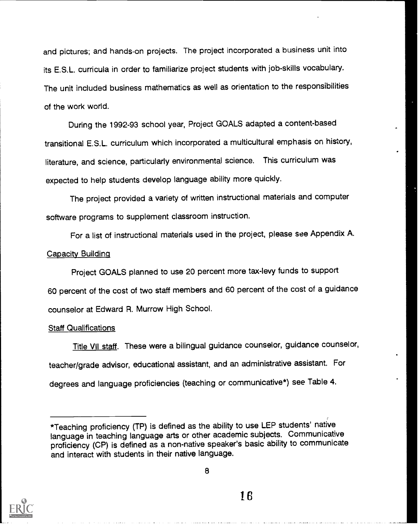and pictures; and hands-on projects. The project incorporated a business unit into its E.S.L. curricula in order to familiarize project students with job-skills vocabulary. The unit included business mathematics as well as orientation to the responsibilities of the work world.

During the 1992-93 school year, Project GOALS adapted a content-based transitional E.S.L. curriculum which incorporated a multicultural emphasis on history, literature, and science, particularly environmental science. This curriculum was expected to help students develop language ability more quickly.

The project provided a variety of written instructional materials and computer software programs to supplement classroom instruction.

For a list of instructional materials used in the project, please see Appendix A. Capacity Building

Project GOALS planned to use 20 percent more tax-levy funds to support 60 percent of the cost of two staff members and 60 percent of the cost of a guidance counselor at Edward R. Murrow High School.

#### Staff Qualifications

Title VII staff. These were a bilingual guidance counselor, guidance counselor, teacher/grade advisor, educational assistant, and an administrative assistant. For degrees and language proficiencies (teaching or communicative\*) see Table 4.



8

<sup>\*</sup>Teaching proficiency (TP) is defined as the ability to use LEP students' native language in teaching language arts or other academic subjects. Communicative proficiency (CP) is defined as a non-native speaker's basic ability to communicate and interact with students in their native language.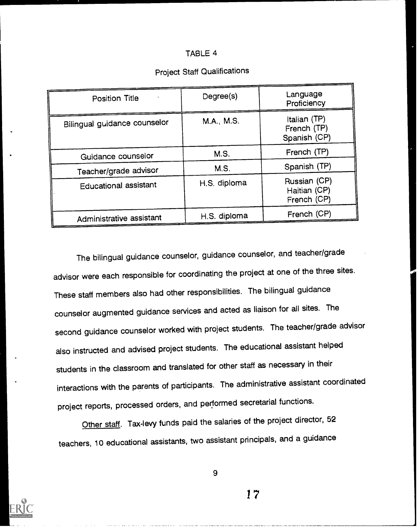#### TABLE 4

| <b>Position Title</b>        | Degree(s)    | Language<br>Proficiency                     |
|------------------------------|--------------|---------------------------------------------|
| Bilingual guidance counselor | M.A., M.S.   | Italian (TP)<br>French (TP)<br>Spanish (CP) |
| Guidance counselor           | M.S.         | French (TP)                                 |
| Teacher/grade advisor        | M.S.         | Spanish (TP)                                |
| <b>Educational assistant</b> | H.S. diploma | Russian (CP)<br>Haitian (CP)<br>French (CP) |
| Administrative assistant     | H.S. diploma | French (CP)                                 |

# Project Staff Qualifications

The bilingual guidance counselor, guidance counselor, and teacher/grade advisor were each responsible for coordinating the project at one of the three sites. These staff members also had other responsibilities. The bilingual guidance counselor augmented guidance services and acted as liaison for all sites. The second guidance counselor worked with project students. The teacher/grade advisor also instructed and advised project students. The educational assistant helped students in the classroom and translated for other staff as necessary in their interactions with the parents of participants. The administrative assistant coordinated project reports, processed orders, and performed secretarial functions.

Other staff. Tax-levy funds paid the salaries of the project director, 52 teachers, 10 educational assistants, two assistant principals, and a guidance



9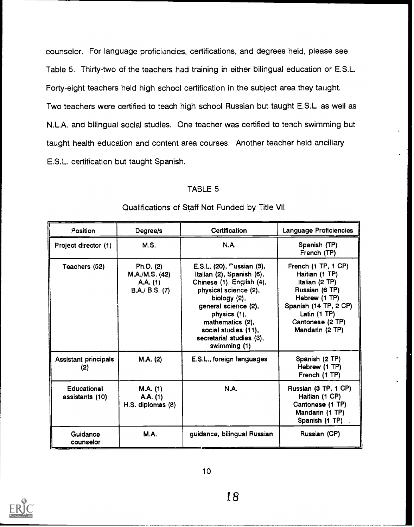counselor. For language proficiencies, certifications, and degrees held, please see Table 5. Thirty-two of the teachers had training in either bilingual education or E.S.L. Forty-eight teachers held high school certification in the subject area they taught. Two teachers were certified to teach high school Russian but taught E.S.L. as well as N.L.A. and bilingual social studies. One teacher was certified to teach swimming but taught health education and content area courses. Another teacher held ancillary E.S.L. certification but taught Spanish.

#### TABLE 5

| Position                              | Degree/s                                                  | <b>Certification</b>                                                                                                                                                                                                                                            | Language Proficiencies                                                                                                                                                          |
|---------------------------------------|-----------------------------------------------------------|-----------------------------------------------------------------------------------------------------------------------------------------------------------------------------------------------------------------------------------------------------------------|---------------------------------------------------------------------------------------------------------------------------------------------------------------------------------|
| Project director (1)                  | M.S.                                                      | <b>N.A.</b>                                                                                                                                                                                                                                                     | Spanish (TP)<br>French (TP)                                                                                                                                                     |
| Teachers (52)                         | Ph.D. (2)<br>M.A./M.S. (42)<br>A.A. (1)<br>B.A./ B.S. (7) | E.S.L. (20), nussian (3),<br>Italian (2), Spanish (6),<br>Chinese (1), English (4),<br>physical science (2),<br>biology $(2)$ ,<br>general science (2),<br>physics (1),<br>mathematics (2),<br>social studies (11),<br>secretarial studies (3),<br>swimming (1) | French (1 TP, 1 CP)<br>Haitian (1 TP)<br>Italian (2 TP)<br>Russian (6 TP)<br>Hebrew (1 TP)<br>Spanish (14 TP, 2 CP)<br>Latin $(1$ TP $)$<br>Cantonese (2 TP)<br>Mandarin (2 TP) |
| <b>Assistant principals</b><br>(2)    | M.A. (2)                                                  | E.S.L., foreign languages                                                                                                                                                                                                                                       | Spanish (2 TP)<br>Hebrew (1 TP)<br>French (1 TP)                                                                                                                                |
| <b>Educational</b><br>assistants (10) | M.A. (1)<br>A.A. (1)<br>H.S. diplomas (8)                 | <b>N.A.</b>                                                                                                                                                                                                                                                     | Russian (3 TP, 1 CP)<br>Haitian (1 CP)<br>Cantonese (1 TP)<br>Mandarin (1 TP)<br>Spanish (1 TP)                                                                                 |
| <b>Guidance</b><br>counselor          | <b>M.A.</b>                                               | guidance, bilingual Russian                                                                                                                                                                                                                                     | Russian (CP)                                                                                                                                                                    |

#### Qualifications of Staff Not Funded by Title VII



10

/8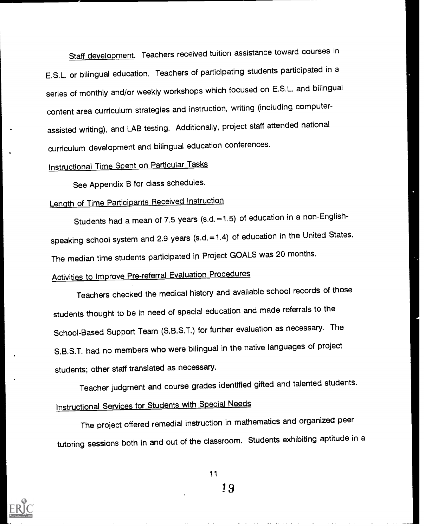Staff development. Teachers received tuition assistance toward courses in E.S.L. or bilingual education. Teachers of participating students participated in a series of monthly and/or weekly workshops which focused on E.S.L. and bilingual content area curriculum strategies and instruction, writing (including computerassisted writing), and LAB testing. Additionally, project staff attended national curriculum development and bilingual education conferences.

# Instructional Time Spent on Particular Tasks

See Appendix B for class schedules.

# Length of Time Participants Received Instruction

Students had a mean of 7.5 years (s.d.=1.5) of education in a non-Englishspeaking school system and 2.9 years (s.d.=1.4) of education in the United States. The median time students participated in Project GOALS was 20 months.

# Activities to Improve Pre-referral Evaluation Procedures

Teachers checked the medical history and available school records of those students thought to be in need of special education and made referrals to the School-Based Support Team (S.B.S.T.) for further evaluation as necessary. The S.B.S.T. had no members who were bilingual in the native languages of project students; other staff translated as necessary.

Teacher judgment and course grades identified gifted and talented students. Instructional Services for Students with Special Needs

The project offered remedial instruction in mathematics and organized peer tutoring sessions both in and out of the classroom. Students exhibiting aptitude in a



11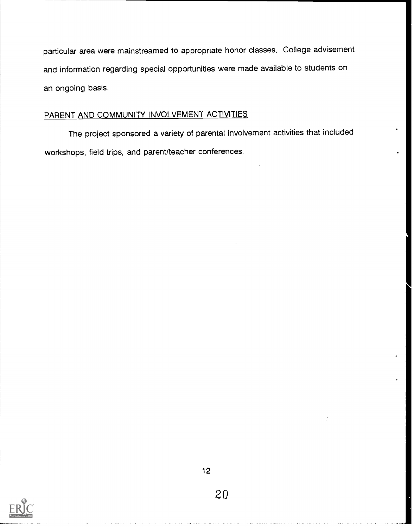particular area were mainstreamed to appropriate honor classes. College advisement and information regarding special opportunities were made available to students on an ongoing basis.

#### PARENT AND COMMUNITY INVOLVEMENT ACTIVITIES

The project sponsored a variety of parental involvement activities that included workshops, field trips, and parent/teacher conferences.

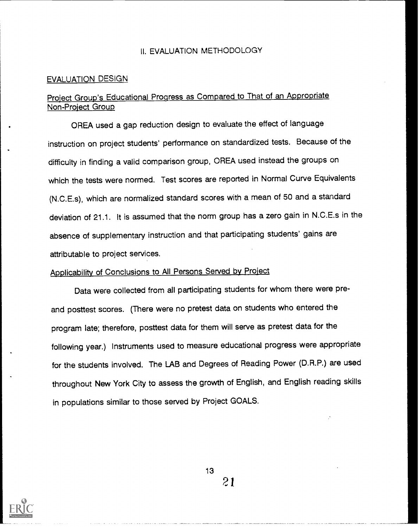#### II. EVALUATION METHODOLOGY

#### EVALUATION DESIGN

#### Project Group's Educational Progress as Compared to That of an Appropriate Non-Proiect Group

OREA used a gap reduction design to evaluate the effect of language instruction on project students' performance on standardized tests. Because of the difficulty in finding a valid comparison group, OREA used instead the groups on which the tests were normed. Test scores are reported in Normal Curve Equivalents (N.C.E.\$), which are normalized standard scores with a mean of 50 and a standard deviation of 21.1. It is assumed that the norm group has a zero gain in N.C.E.s in the absence of supplementary instruction and that participating students' gains are attributable to project services.

# Applicability of Conclusions to All Persons Served bv Project

Data were collected from all participating students for whom there were preand posttest scores. (There were no pretest data on students who entered the program late; therefore, posttest data for them will serve as pretest data for the following year.) Instruments used to measure educational progress were appropriate for the students involved. The LAB and Degrees of Reading Power (D.R.P.) are used throughout New York City to assess the growth of English, and English reading skills in populations similar to those served by Project GOALS.

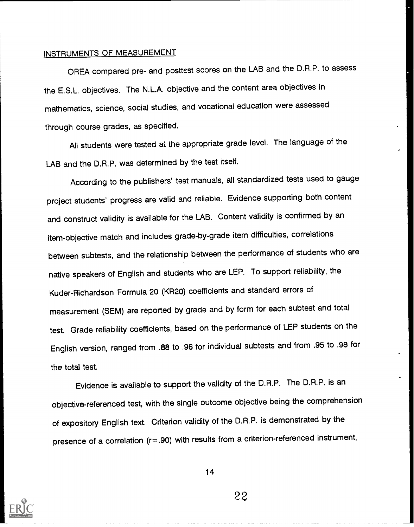#### INSTRUMENTS OF MEASUREMENT

OREA compared pre- and posttest scores on the LAB and the D.R.P. to assess the E.S.L. objectives. The N.L.A. objective and the content area objectives in mathematics, science, social studies, and vocational education were assessed through course grades, as specified.

All students were tested at the appropriate grade level. The language of the LAB and the D.R.P. was determined by the test itself.

According to the publishers' test manuals, all standardized tests used to gauge project students' progress are valid and reliable. Evidence supporting both content and construct validity is available for the LAB. Content validity is confirmed by an item-objective match and includes grade-by-grade item difficulties, correlations between subtests, and the relationship between the performance of students who are native speakers of English and students who are LEP. To support reliability, the Kuder-Richardson Formula 20 (KR20) coefficients and standard errors of measurement (SEM) are reported by grade and by form for each subtest and total test. Grade reliability coefficients, based on the performance of LEP students on the English version, ranged from .88 to .96 for individual subtests and from .95 to .98 for the total test.

Evidence is available to support the validity of the D.R.P. The D.R.P. is an objective-referenced test, with the single outcome objective being the comprehension of expository English text. Criterion validity of the D.R.P. is demonstrated by the presence of a correlation (r=.90) with results from a criterion-referenced instrument,



14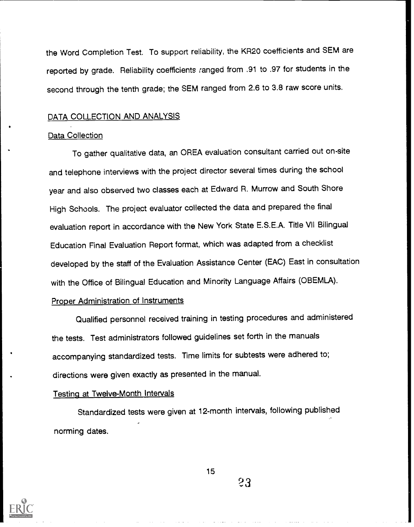the Word Completion Test. To support reliability, the KR20 coefficients and SEM are reported by grade. Reliability coefficients ranged from .91 to .97 for students in the second through the tenth grade; the SEM ranged from 2.6 to 3.8 raw score units.

#### DATA COLLECTION AND ANALYSIS

#### Data Collection

To gather qualitative data, an OREA evaluation consultant carried out on-site and telephone interviews with the project director several times during the school year and also observed two classes each at Edward R. Murrow and South Shore High Schools. The project evaluator collected the data and prepared the final evaluation report in accordance with the New York State E.S.E.A. Title VII Bilingual Education Final Evaluation Report format, which was adapted from a checklist developed by the staff of the Evaluation Assistance Center (EAC) East in consultation with the Office of Bilingual Education and Minority Language Affairs (OBEMLA).

#### Proper Administration of Instruments

Qualified personnel received training in testing procedures and administered the tests. Test administrators followed guidelines set forth in the manuals accompanying standardized tests. Time limits for subtests were adhered to; directions were given exactly as presented in the manual.

#### Testing at Twelve-Month Intervals

Standardized tests were given at 12-month intervals, following published norming dates.

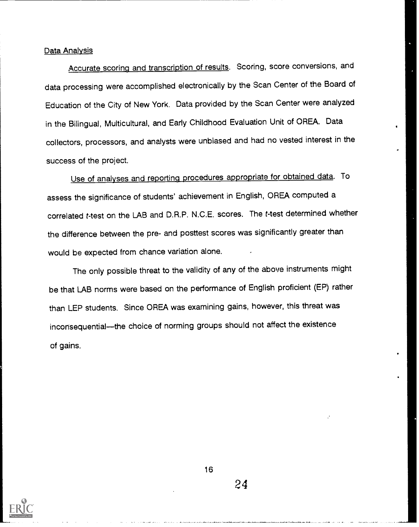#### Data Analysis

Accurate scoring and transcription of results. Scoring, score conversions, and data processing were accomplished electronically by the Scan Center of the Board of Education of the City of New York. Data provided by the Scan Center were analyzed in the Bilingual, Multicultural, and Early Childhood Evaluation Unit of OREA. Data collectors, processors, and analysts were unbiased and had no vested interest in the success of the project.

Use of analyses and reporting procedures appropriate for obtained data. To assess the significance of students' achievement in English, OREA computed a correlated t-test on the LAB and D.R.P. N.C.E. scores. The t-test determined whether the difference between the pre- and posttest scores was significantly greater than would be expected from chance variation alone.

The only possible threat to the validity of any of the above instruments might be that LAB norms were based on the performance of English proficient (EP) rather than LEP students. Since OREA was examining gains, however, this threat was inconsequential-the choice of norming groups should not affect the existence of gains.



16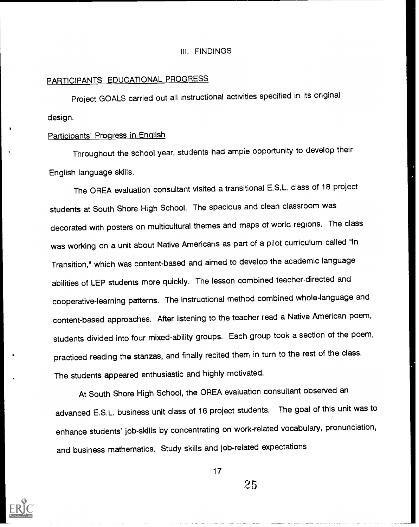#### III. FINDINGS

#### PARTICIPANTS' EDUCATIONAL PROGRESS

Project GOALS carried out all instructional activities specified in its original design.

#### Participants' Progress in English

Throughout the school year, students had ample opportunity to develop their English language skills.

The OREA evaluation consultant visited a transitional E.S.L. class of 18 project students at South Shore High School. The spacious and clean classroom was decorated with posters on multicultural themes and maps of world regions. The class was working on a unit about Native Americans as part of a pilot curriculum called "In Transition," which was content-based and aimed to develop the academic language abilities of LEP students more quickly. The lesson combined teacher-directed and cooperative-learning patterns. The instructional method cornbined whole-language and content-based approaches. After listening to the teacher read a Native American poem, students divided into four mixed-ability groups. Each group took a section of the poem, practiced reading the stanzas, and finally recited them in turn to the rest of the class. The students appeared enthusiastic and highly motivated.

At South Shore High School, the OREA evaluation consultant observed an advanced E.S.L. business unit class of 16 project students. The goal of this unit was to enhance students' job-skills by concentrating on work-related vocabulary, pronunciation, and business mathematics. Study skills and job-related expectations



17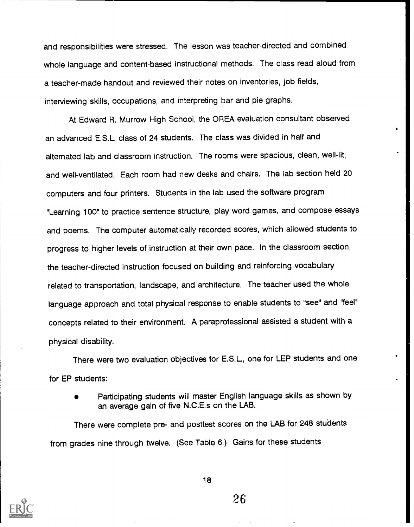and responsibilities were stressed. The lesson was teacher-directed and combined whole language and content-based instructional methods. The class read aloud from a teacher-made handout and reviewed their notes on inventories, job fields, interviewing skills, occupations, and interpreting bar and pie graphs.

At Edward R. Murrow High School, the OREA evaluation consultant observed an advanced E.S.L. class of 24 students. The class was divided in half and alternated lab and classroom instruction. The rooms were spacious, clean, well-lit, and well-ventilated. Each room had new desks and chairs. The lab section held 20 computers and four printers. Students in the lab used the software program "Learning 100" to practice sentence structure, play word games, and compose essays and poems. The computer automatically recorded scores, which allowed students to progress to higher levels of instruction at their own pace. In the classroom section, the teacher-directed instruction focused on building and reinforcing vocabulary related to transportation, landscape, and architecture. The teacher used the whole language approach and total physical response to enable students to "see" and "feel" concepts related to their environment. A paraprofessional assisted a student with a physical disability.

There were two evaluation objectives for E.S.L., one for LEP students and one for EP students:

Participating students will master English language skills as shown by an average gain of five N.C.E.s on the LAB.

There were complete pre- and posttest scores on the LAB for 248 students from grades nine through twelve. (See Table 6.) Gains for these students



18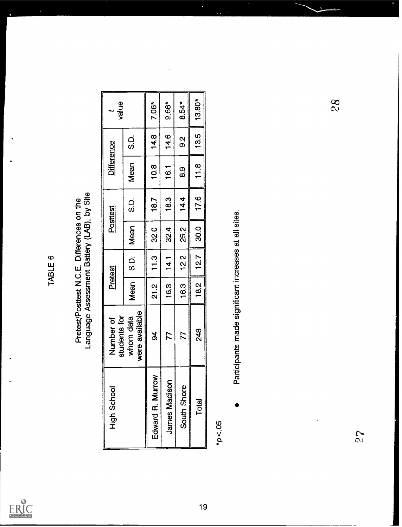

# TABLE 6<br>Pretest/Posttest N.C.E. Differences on the<br>Language Assessment Battery (LAB), by Site

| Edward R. Murrow<br><b>James Madison</b> | students for<br>whom data                             |      |        |      |      |                |         | value    |
|------------------------------------------|-------------------------------------------------------|------|--------|------|------|----------------|---------|----------|
|                                          | were available                                        | Mean | C<br>S | Mean | ပ္ပဲ | Mean           | င်<br>၁ |          |
|                                          | $\overline{9}$                                        | 21.2 | 11.3   | 32.0 | 18.7 | 10.8           | 14.8    | 7.06*    |
|                                          | 77                                                    | 16.3 | 14.1   | 32.4 | 18.3 | 16.1           | 14.6    | $9.66*$  |
| South Shore                              | 77                                                    | 16.3 | 12.2   | 25.2 | 14.4 | <u>ග</u>       | 0.S     | $8.54*$  |
| Total                                    | 248                                                   | 18.2 | 12.7   | 30.0 | 17.6 | $\frac{8}{10}$ | 13.5    | $13.80*$ |
| $*_{p < .05}$                            | Participants made significant increases at all sites. |      |        |      |      |                |         | 8<br>29  |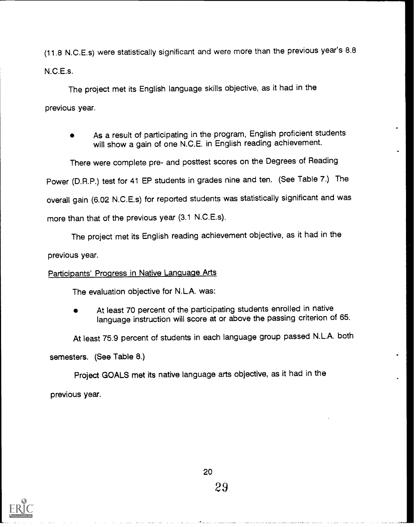(11.8 N.C.E.s) were statistically significant and were more than the previous year's 8.8 N.C.E.s.

The project met its English language skills objective, as it had in the previous year.

As a result of participating in the program, English proficient students will show a gain of one N.C.E. in English reading achievement.

There were complete pre- and posttest scores on the Degrees of Reading Power (D.R.P.) test for 41 EP students in grades nine and ten. (See Table 7.) The overall gain (6.02 N.C.E.s) for reported students was statistically significant and was more than that of the previous year (3.1 N.C.E.s).

The project met its English reading achievement objective, as it had in the

previous year.

#### Participants' Progress in Native Language Arts

The evaluation objective for N.L.A. was:

At least 70 percent of the participating students enrolled in native language instruction will score at or above the passing criterion of 65.

At least 75.9 percent of students in each language group passed N.L.A. both

semesters. (See Table 8.)

Project GOALS met its native language arts objective, as it had in the

previous year.

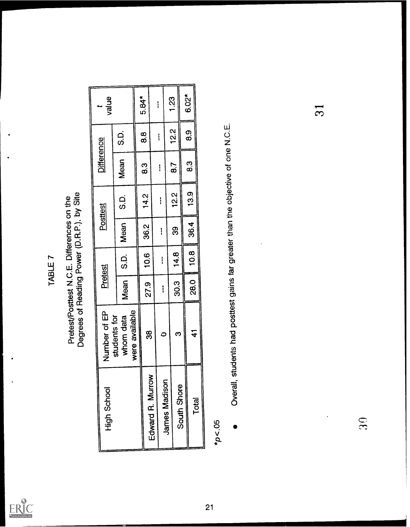

# TABLE 7<br>Pretest/Posttest N.C.E. Differences on the<br>Degrees of Reading Power (D.R.P.), by Site

| value           |                                             | 5.84* | ł                |                      | 1.23        | 6.02*          | $\overline{\Omega}$                                                               |
|-----------------|---------------------------------------------|-------|------------------|----------------------|-------------|----------------|-----------------------------------------------------------------------------------|
|                 | C.<br>CO                                    | 8.8   | ļ                |                      | 12.2        | $\mathbf{8.9}$ |                                                                                   |
| Difference      | Mean                                        | 83    | $\mathbf{I}$     |                      | 8.7         | 83             |                                                                                   |
|                 | C.<br>S.D.                                  | 14.2  | I                |                      | 12.2        | 13.9           |                                                                                   |
| <b>Posttest</b> | Mean                                        | 36.2  | ļ                |                      | 89          | 36.4           |                                                                                   |
|                 | C.C                                         | 10.6  | İ                |                      | 14.8        | 10.8           |                                                                                   |
| Pretest         | Mean                                        | 27.9  |                  | ļ                    | 30.3        | <b>28.0</b>    |                                                                                   |
| Number of EP    | were available<br>students for<br>whom data | 38    |                  | $\circ$              | က           | $\mathbf{A}$   | Overall, students had posttest gains far greater than the objective of one N.C.E. |
| High School     |                                             |       | Edward R. Murrow | <b>James Madison</b> | South Shore | Total          | 30<br>$^{*}p < 05$                                                                |

÷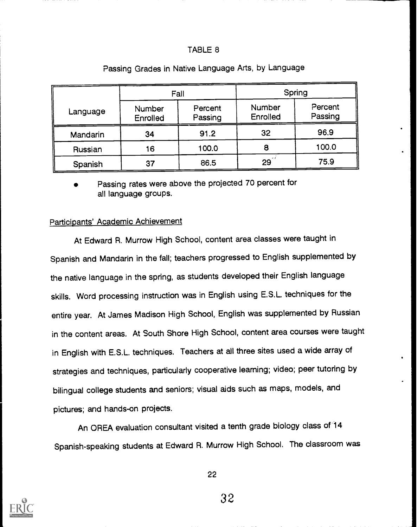#### TABLE 8

|          | Fall               |                    |                    | Spring             |  |  |
|----------|--------------------|--------------------|--------------------|--------------------|--|--|
| Language | Number<br>Enrolled | Percent<br>Passing | Number<br>Enrolled | Percent<br>Passing |  |  |
| Mandarin | 34                 | 91.2               | 32                 | 96.9               |  |  |
| Russian  | 16                 | 100.0              | 8                  | 100.0              |  |  |
| Spanish  | 37                 | 86.5               | $29^{\degree}$     | 75.9               |  |  |

#### Passing Grades in Native Language Arts, by Language

Passing rates were above the projected 70 percent for all language groups.

#### Participants' Academic Achievement

At Edward R. Murrow High School, content area classes were taught in Spanish and Mandarin in the fall; teachers progressed to English supplemented by the native language in the spring, as students developed their English language skills. Word processing instruction was in English using E.S.L. techniques for the entire year. At James Madison High School, English was supplemented by Russian in the content areas. At South Shore High School, content area courses were taught in English with E.S.L. techniques. Teachers at all three sites used a wide array of strategies and techniques, particularly cooperative learning; video; peer tutoring by bilingual college students and seniors; visual aids such as maps, models, and pictures; and hands-on projects.

An OREA evaluation consultant visited a tenth grade biology class of 14 Spanish-speaking students at Edward R. Murrow High School. The classroom was



22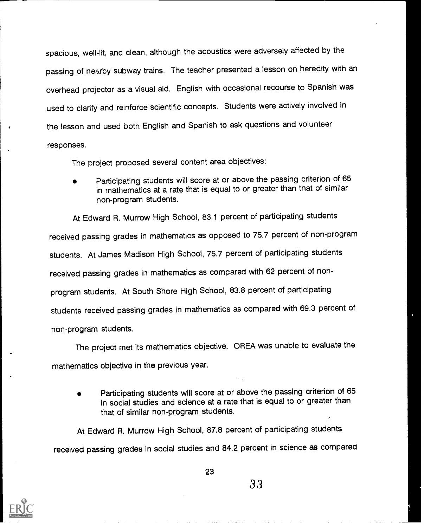spacious, well-lit, and clean, although the acoustics were adversely affected by the passing of nearby subway trains. The teacher presented a lesson on heredity with an overhead projector as a visual aid. English with occasional recourse to Spanish was used to clarify and reinforce scientific concepts. Students were actively involved in the lesson and used both English and Spanish to ask questions and volunteer responses.

The project proposed several content area objectives:

Participating students will score at or above the passing criterion of 65 in mathematics at a rate that is equal to or greater than that of similar non-program students.

At Edward R. Murrow High School, 83.1 percent of participating students received passing grades in mathematics as opposed to 75.7 percent of non-program students. At James Madison High School, 75.7 percent of participating students received passing grades in mathematics as compared with 62 percent of nonprogram students. At South Shore High School, 83.8 percent of participating students received passing grades in mathematics as compared with 69.3 percent of non-program students.

The project met its mathematics objective. OREA was unable to evaluate the mathematics objective in the previous year.

Participating students will score at or above the passing criterion of 65 in social studies and science at a rate that is equal to or greater than that of similar non-program students.

At Edward R. Murrow High School, 87.8 percent of participating students received passing grades in social studies and 84.2 percent in science as compared



23

33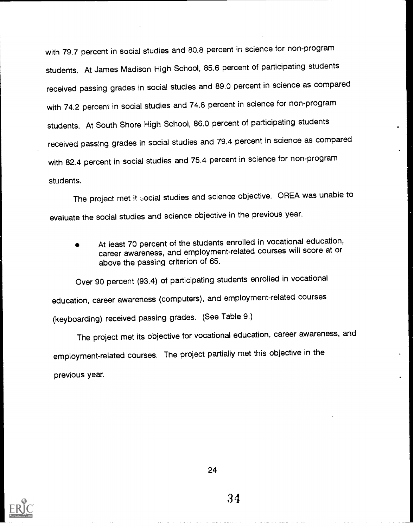with 79.7 percent in social studies and 80.8 percent in science for non-program students. At James Madison High School, 85.6 percent of participating students received passing grades in social studies and 89.0 percent in science as compared with 74.2 percent in social studies and 74.8 percent in science for non-program students. At South Shore High School, 86.0 percent of participating students received passing grades in social studies and 79.4 percent in science as compared with 82.4 percent in social studies and 75.4 percent in science for non-program students.

The project met it social studies and science objective. OREA was unable to evaluate the social studies and science objective in the previous year.

At least 70 percent of the students enrolled in vocational education, career awareness, and employment-related courses will score at or above the passing criterion of 65.

Over 90 percent (93.4) of participating students enrolled in vocational education, career awareness (computers), and employment-related courses (keyboarding) received passing grades. (See Table 9.)

The project met its objective for vocational education, career awareness, and employment-related courses. The project partially met this objective in the previous year.



24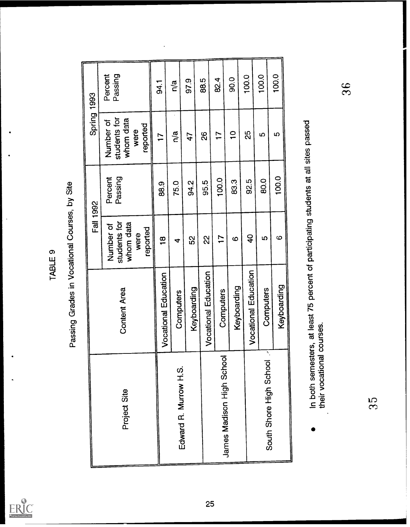

TABLE 9<br>Passing Grades in Vocational Courses, by Site

| Spring 1993      | Percent<br>Passing<br>students for<br>whom data<br>Number of<br>reported<br>were | 541<br>$\overline{1}$ | n/a<br>$\overline{\mathsf{n}}/\mathsf{a}$ | 97.9<br>47  | 88.5<br>88                  | 82.4<br>$\overline{1}$    | 90.0<br>$\frac{1}{\sqrt{2}}$ | 100.0<br>25                 | 100.0<br>က                    | 100.0<br>ဖာ           | 36                                                                                   |
|------------------|----------------------------------------------------------------------------------|-----------------------|-------------------------------------------|-------------|-----------------------------|---------------------------|------------------------------|-----------------------------|-------------------------------|-----------------------|--------------------------------------------------------------------------------------|
|                  | Passing<br>Percent                                                               | 88.9                  | 75.0                                      | 94.2        | 95.5                        | 100.0                     | 83.3                         | 92.5                        | 80.0                          | 100.0                 |                                                                                      |
| <b>Fall 1992</b> | students for<br>whom data<br>Number of<br>reported<br>were                       | $\frac{\infty}{1}$    | $\blacktriangleleft$                      | 52          | 22                          | $\mathsf{L}$              | $\boldsymbol{\omega}$        | $\overline{a}$              | <b>SD</b>                     | $\boldsymbol{\omega}$ |                                                                                      |
|                  | <b>Content Area</b>                                                              | Vocational Education  | Computers                                 | Keyboarding | <b>Vocational Education</b> | Computers                 | Keyboarding                  | <b>Vocational Education</b> | Computers                     | Keyboarding           | In both semesters, at least 75 percent of participating students at all sites passed |
|                  | Project Site                                                                     |                       | Edward R. Murrow H.S.                     |             |                             | James Madison High School |                              |                             | ٦.<br>South Shore High School |                       | their vocational courses.<br>35                                                      |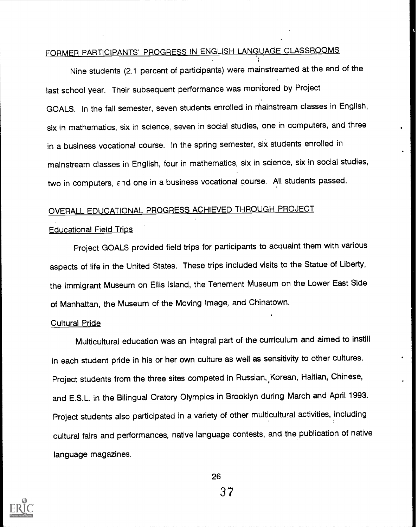# FORMER PARTICIPANTS' PROGRESS IN ENGLISH LANGUAGE CLASSROOMS

Nine students (2.1 percent of participants) were mainstreamed at the end of the last school year. Their subsequent performance was monitored by Project GOALS. In the fall semester, seven students enrolled in rhainstream classes in English, six in mathematics, six in science, seven in social studies, one in computers, and three in a business vocational course. In the spring semester, six students enrolled in mainstream classes in English, four in mathematics, six in science, six in social studies, two in computers, and one in a business vocational course. All students passed.

# OVERALL EDUCATIONAL PROGRESS ACHIEVED THROUGH PROJECT

#### Educational Field Trips

Project GOALS provided field trips for participants to acquaint them with various aspects of life in the United States. These trips included visits to the Statue of Liberty, the Immigrant Museum on Ellis Island, the Tenement Museum on the Lower East Side of Manhattan, the Museum of the Moving Image, and Chinatown.

#### Cultural Pride

Multicultural education was an integral part of the curriculum and aimed to instill in each student pride in his or her own culture as well as sensitivity to other cultures. Project students from the three sites competed in Russian, Korean, Haitian, Chinese, and E.S.L. in the Bilingual Oratory Olympics in Brooklyn during March and April 1993. Project students also participated in a variety of other multicultural activities, including cultural fairs and performances, native language contests, and the publication of native language magazines.

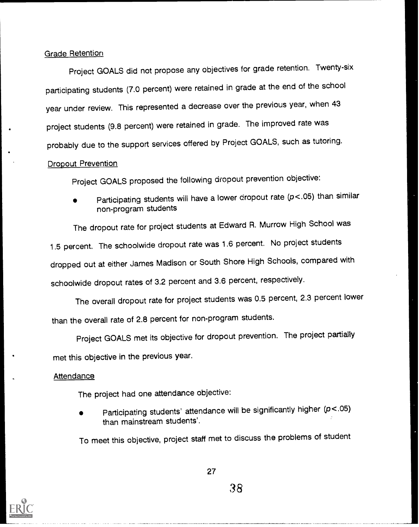#### Grade Retention

Project GOALS did not propose any objectives for grade retention. Twenty-six participating students (7.0 percent) were retained in grade at the end of the school year under review. This represented a decrease over the previous year, when 43 project students (9.8 percent) were retained in grade. The improved rate was probably due to the support services offered by Project GOALS, such as tutoring.

#### Dropout Prevention

Project GOALS proposed the following dropout prevention objective:

Participating students will have a lower dropout rate (p<.05) than similar non-program students

The dropout rate for project students at Edward R. Murrow High School was 1.5 percent. The schoolwide dropout rate was 1.6 percent. No project students dropped out at either James Madison or South Shore High Schools, compared with schoolwide dropout rates of 3.2 percent and 3.6 percent, respectively.

The overall dropout rate for project students was 0.5 percent, 2.3 percent lower than the overall rate of 2.8 percent for non-program students.

Project GOALS met its objective for dropout prevention. The project partially met this objective in the previous year.

#### Attendance

The project had one attendance objective:

Participating students' attendance will be significantly higher (p<.05) than mainstream students'.

To meet this objective, project staff met to discuss the problems of student

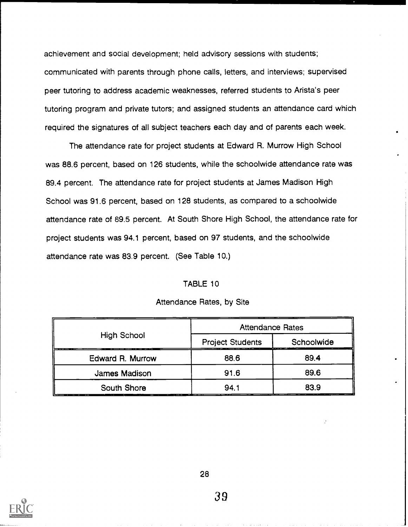achievement and social development; held advisory sessions with students; communicated with parents through phone calls, letters, and interviews; supervised peer tutoring to address academic weaknesses, referred students to Arista's peer tutoring program and private tutors; and assigned students an attendance card which required the signatures of all subject teachers each day and of parents each week.

The attendance rate for project students at Edward R. Murrow High School was 88.6 percent, based on 126 students, while the schoolwide attendance rate was 89.4 percent. The attendance rate for project students at James Madison High School was 91.6 percent, based on 128 students, as compared to a schoolwide attendance rate of 89.5 percent. At South Shore High School, the attendance rate for project students was 94.1 percent, based on 97 students, and the schoolwide attendance rate was 83.9 percent. (See Table 10.)

#### TABLE 10

|                  | <b>Attendance Rates</b> |            |  |
|------------------|-------------------------|------------|--|
| High School      | <b>Project Students</b> | Schoolwide |  |
| Edward R. Murrow | 88.6                    | 89.4       |  |
| James Madison    | 91.6                    | 89.6       |  |
| South Shore      | 94.1                    | 83.9       |  |

#### Attendance Rates, by Site

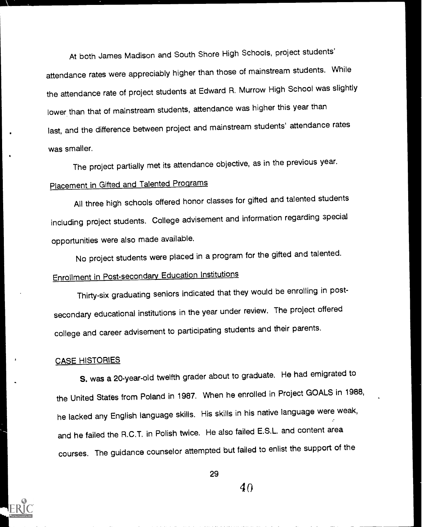At both James Madison and South Shore High Schools, project students' attendance rates were appreciably higher than those of mainstream students. While the attendance rate of project students at Edward R. Murrow High School was slightly lower than that of mainstream students, attendance was higher this year than last, and the difference between project and mainstream students' attendance rates was smaller.

The project partially met its attendance objective, as in the previous year. Placement in Gifted and Talented Programs

All three high schools offered honor classes for gifted and talented students including project students. College advisement and information regarding special opportunities were also made available.

No project students were placed in a program for the gifted and talented.

# Enrollment in Post-secondary Education Institutions

Thirty-six graduating seniors indicated that they would be enrolling in postsecondary educational institutions in the year under review. The project offered college and career advisement to participating students and their parents.

#### CASE HISTORIES

Iran American Services

S. was a 20-year-old twelfth grader about to graduate. He had emigrated to the United States from Poland in 1987. When he enrolled in Project GOALS in 1988, he lacked any English language skills. His skills in his native language were weak, and he failed the R.C.T. in Polish twice. He also failed E.S.L. and content area courses. The guidance counselor attempted but failed to enlist the support of the

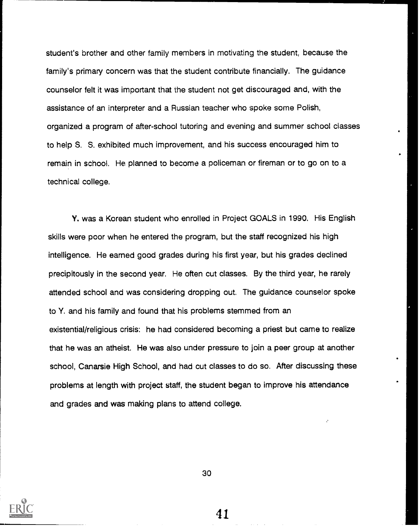student's brother and other family members in motivating the student, because the family's primary concern was that the student contribute financially. The guidance counselor felt it was important that the student not get discouraged and, with the assistance of an interpreter and a Russian teacher who spoke some Polish, organized a program of after-school tutoring and evening and summer school classes to help S. S. exhibited much improvement, and his success encouraged him to remain in school. He planned to become a policeman or fireman or to go on to a technical college.

Y. was a Korean student who enrolled in Project GOALS in 1990. His English skills were poor when he entered the program, but the staff recognized his high intelligence. He earned good grades during his first year, but his grades declined precipitously in the second year. He often cut classes. By the third year, he rarely attended school and was considering dropping out. The guidance counselor spoke to Y. and his family and found that his problems stemmed from an existential/religious crisis: he had considered becoming a priest but came to realize that he was an atheist. He was also under pressure to join a peer group at another school, Canarsie High School, and had cut classes to do so. After discussing these problems at length with project staff, the student began to improve his attendance and grades and was making plans to attend college.



41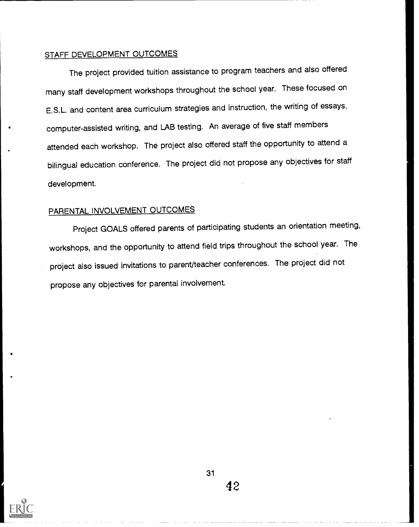#### STAFF DEVELOPMENT OUTCOMES

The project provided tuition assistance to program teachers and also offered many staff development workshops throughout the school year. These focused on E.S.L. and content area curriculum strategies and instruction, the writing of essays, computer-assisted writing, and LAB testing. An average of five staff members attended each workshop. The project also offered staff the opportunity to attend a bilingual education conference. The project did not propose any objectives for staff development.

# PARENTAL INVOLVEMENT OUTCOMES

Project GOALS offered parents of participating students an orientation meeting, workshops, and the opportunity to attend field trips throughout the school year. The project also issued invitations to parent/teacher conferences. The project did not propose any objectives for parental involvement.

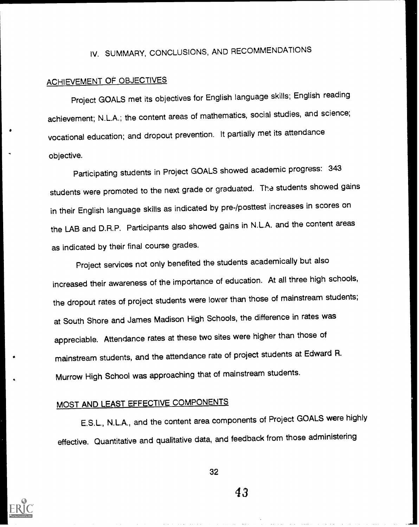# IV. SUMMARY, CONCLUSIONS, AND RECOMMENDATIONS

# ACHIEVEMENT OF OBJECTIVES

Project GOALS met its objectives for English language skills; English reading achievement; N.L.A.; the content areas of mathematics, social studies, and science; vocational education; and dropout prevention. It partially met its attendance objective.

Participating students in Project GOALS showed academic progress: <sup>343</sup> students were promoted to the next grade or graduated. The students showed gains in their English language skills as indicated by pre-/posttest increases in scores on the LAB and D.R.P. Participants also showed gains in N.L.A. and the content areas as indicated by their final course grades.

Project services not only benefited the students academically but also increased their awareness of the importance of education. At all three high schools, the dropout rates of project students were lower than those of mainstream students; at South Shore and James Madison High Schools, the difference in rates was appreciable. Attendance rates at these two sites were higher than those of mainstream students, and the attendance rate of project students at Edward R. Murrow High School was approaching that of mainstream students.

# MOST AND LEAST EFFECTIVE COMPONENTS

E.S.L., N.L.A., and the content area components of Project GOALS were highly effective. Quantitative and qualitative data, and feedback from those administering



32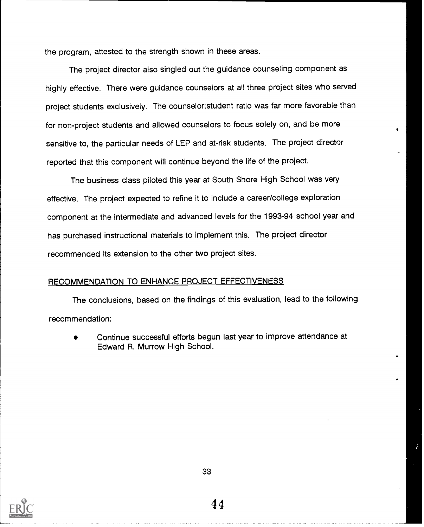the program, attested to the strength shown in these areas.

The project director also singled out the guidance counseling component as highly effective. There were guidance counselors at all three project sites who served project students exclusively. The counselor:student ratio was far more favorable than for non-project students and allowed counselors to focus solely on, and be more sensitive to, the particular needs of LEP and at-risk students. The project director reported that this component will continue beyond the life of the project.

The business class piloted this year at South Shore High School was very effective. The project expected to refine it to include a career/college exploration component at the intermediate and advanced levels for the 1993-94 school year and has purchased instructional materials to implement this. The project director recommended its extension to the other two project sites.

#### RECOMMENDATION TO ENHANCE PROJECT EFFECTIVENESS

The conclusions, based on the findings of this evaluation, lead to the following recommendation:

Continue successful efforts begun last year to improve attendance at Edward R. Murrow High School.

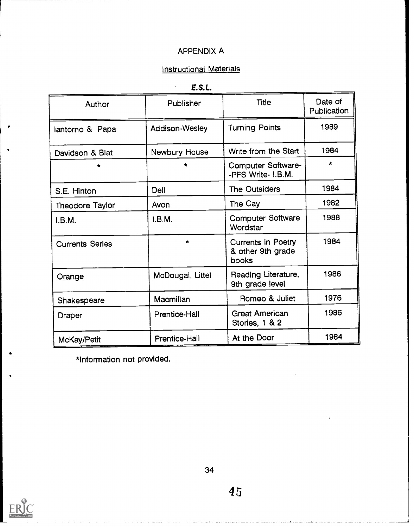# Instructional Materials

 $\ddot{\phantom{a}}$ 

| Author                 | Publisher        | <b>Title</b>                                            | Date of<br>Publication |
|------------------------|------------------|---------------------------------------------------------|------------------------|
| lantorno & Papa        | Addison-Wesley   | <b>Turning Points</b>                                   | 1989                   |
| Davidson & Blat        | Newbury House    | Write from the Start                                    | 1984                   |
| $\star$                | ÷                | <b>Computer Software-</b><br>-PFS Write- I.B.M.         | $\star$                |
| S.E. Hinton            | Dell             | <b>The Outsiders</b>                                    | 1984                   |
| Theodore Taylor        | Avon             | The Cay                                                 | 1982                   |
| I.B.M.                 | I.B.M.           | <b>Computer Software</b><br>Wordstar                    | 1988                   |
| <b>Currents Series</b> | $\star$          | <b>Currents in Poetry</b><br>& other 9th grade<br>books | 1984                   |
| Orange                 | McDougal, Littel | Reading Literature,<br>9th grade level                  | 1986                   |
| Shakespeare            | Macmillan        | Romeo & Juliet                                          | 1976                   |
| Draper                 | Prentice-Hall    | <b>Great American</b><br>Stories, 1 & 2                 | 1986                   |
| McKay/Petit            | Prentice-Hall    | At the Door                                             | 1984                   |

\*Information not provided.



restaurantes<br>1980 - Carlos Carlos

e i vez e vez e vez e vez e vez e vez e vez e vez e vez e vez e vez e vez e vez e vez e vez e vez e vez e vez<br>Eventuel e vez e vez e vez e vez e vez e vez e vez e vez e vez e vez e vez e vez e vez e vez e vez e vez e vez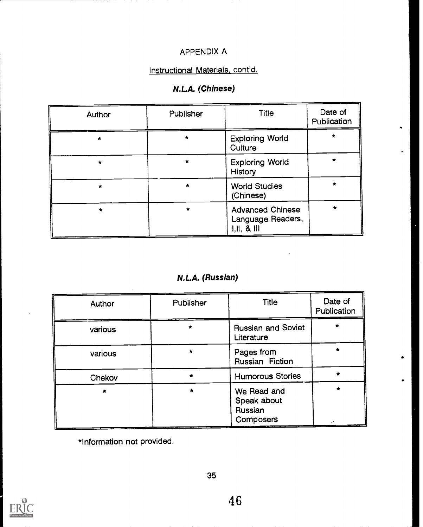# Instructional Materials, cont'd.

# N.LA. (Chinese)

| Author  | Publisher | <b>Title</b>                                             | Date of<br>Publication |
|---------|-----------|----------------------------------------------------------|------------------------|
| $\star$ | *         | <b>Exploring World</b><br>Culture                        |                        |
| $\star$ | $\star$   | <b>Exploring World</b><br><b>History</b>                 | $\star$                |
| $\star$ |           | <b>World Studies</b><br>(Chinese)                        | $\star$                |
| $\pm$   | $\star$   | <b>Advanced Chinese</b><br>Language Readers,<br>1, 11, 8 | $\star$                |

# N.LA. (Russian)

| Author  | Publisher | Title                                              | Date of<br>Publication |
|---------|-----------|----------------------------------------------------|------------------------|
| various | $\star$   | <b>Russian and Soviet</b><br>Literature            |                        |
| various |           | Pages from<br>Russian Fiction                      |                        |
| Chekov  |           | <b>Humorous Stories</b>                            |                        |
|         |           | We Read and<br>Speak about<br>Russian<br>Composers | $\star$                |

\*Information not provided.

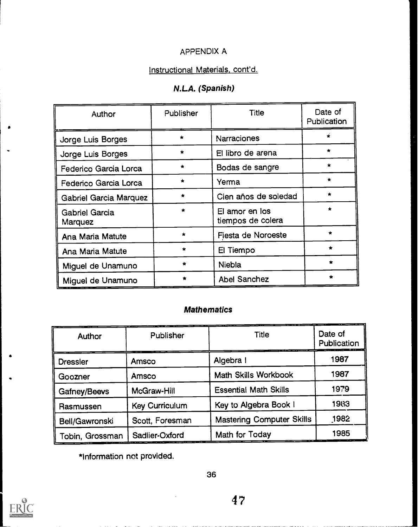# Instructional Materials, cont'd.

# N.LA. (Spanish)

| Author                           | Publisher | <b>Title</b>                        | Date of<br>Publication |
|----------------------------------|-----------|-------------------------------------|------------------------|
| Jorge Luis Borges                | $\star$   | <b>Narraciones</b>                  |                        |
| Jorge Luis Borges                | $\star$   | El libro de arena                   | $\star$                |
| Federico Garcia Lorca            | $\star$   | Bodas de sangre                     | $\star$                |
| Federico Garcia Lorca            | $\star$   | Yerma                               | $\star$                |
| <b>Gabriel Garcia Marquez</b>    | $\star$   | Cien años de soledad                | $\star$                |
| <b>Gabriel Garcia</b><br>Marquez | $\bullet$ | El amor en los<br>tiempos de colera | $\star$                |
| Ana Maria Matute                 | $\star$   | Fiesta de Noroeste                  | $\star$                |
| Ana Maria Matute                 | $\star$   | El Tiempo                           | $\bullet$              |
| Miguel de Unamuno                | $\bullet$ | <b>Niebla</b>                       | $\bullet$              |
| Miguel de Unamuno                |           | <b>Abel Sanchez</b>                 | ÷                      |

# Mathematics

| Author          | Publisher             | <b>Title</b>                     | Date of<br>Publication |
|-----------------|-----------------------|----------------------------------|------------------------|
| <b>Dressler</b> | Amsco                 | Algebra I                        | 1987                   |
| Goozner         | Amsco                 | <b>Math Skills Workbook</b>      | 1987                   |
| Gafney/Beevs    | McGraw-Hill           | <b>Essential Math Skills</b>     | 1979                   |
| Rasmussen       | <b>Key Curriculum</b> | Key to Algebra Book I            | 1983                   |
| Bell/Gawronski  | Scott, Foresman       | <b>Mastering Computer Skills</b> | 1982                   |
| Tobin, Grossman | Sadlier-Oxford        | Math for Today                   | 1985                   |

\*Information not provided.

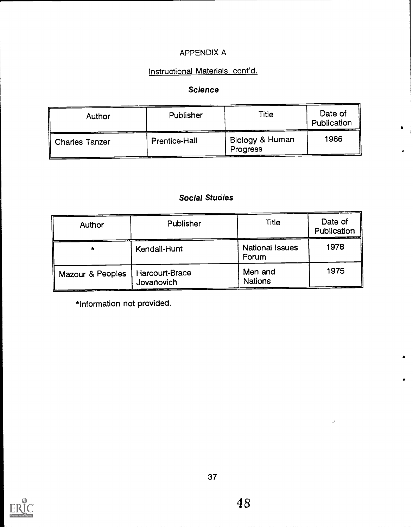# Instructional Materials, cont'd.

## Science

| Author         | Publisher     | Title                       | Date of<br>Publication |
|----------------|---------------|-----------------------------|------------------------|
| Charles Tanzer | Prentice-Hall | Biology & Human<br>Progress | 1986                   |

# Social Studies

| Author           | Publisher                    | Title                           | Date of<br>Publication |
|------------------|------------------------------|---------------------------------|------------------------|
| $\star$          | Kendall-Hunt                 | <b>National Issues</b><br>Forum | 1978                   |
| Mazour & Peoples | Harcourt-Brace<br>Jovanovich | Men and<br><b>Nations</b>       | 1975                   |

\*Information not provided.

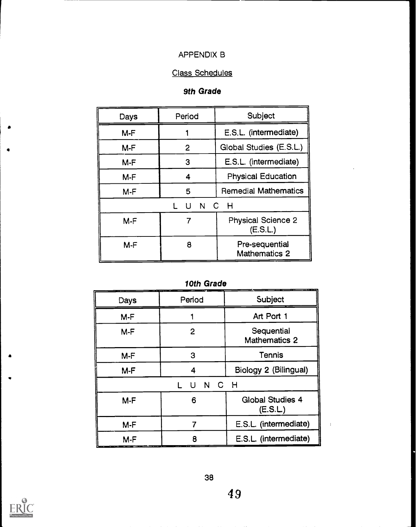#### APPENDIX B

# Class Schedules

### 9th Grade

| Days  | Period        | Subject                               |
|-------|---------------|---------------------------------------|
| $M-F$ |               | E.S.L. (intermediate)                 |
| $M-F$ | $\mathbf{2}$  | Global Studies (E.S.L.)               |
| $M-F$ | 3             | E.S.L. (intermediate)                 |
| $M-F$ | 4             | <b>Physical Education</b>             |
| $M-F$ | 5             | <b>Remedial Mathematics</b>           |
|       | N<br>C.<br>11 | - H                                   |
| $M-F$ | 7             | <b>Physical Science 2</b><br>(E.S.L.) |
| $M-F$ | 8             | Pre-sequential<br>Mathematics 2       |

10th Grade

| Days  | Period         | Subject                            |
|-------|----------------|------------------------------------|
| $M-F$ |                | Art Port 1                         |
| $M-F$ | $\overline{2}$ | Sequential<br><b>Mathematics 2</b> |
| $M-F$ | 3              | Tennis                             |
| $M-F$ | 4              | Biology 2 (Bilingual)              |
|       | N C H<br>U     |                                    |
| $M-F$ | 6              | <b>Global Studies 4</b><br>(E.S.L) |
| $M-F$ |                | E.S.L. (intermediate)              |
| $M-F$ | я              | E.S.L. (intermediate)              |



 $\bullet$ 

 $\bullet$ 

л